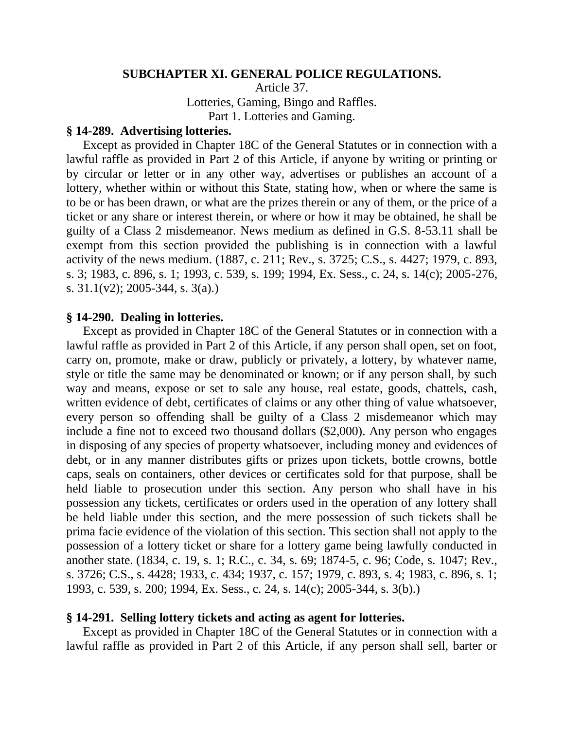#### **SUBCHAPTER XI. GENERAL POLICE REGULATIONS.**

Article 37.

Lotteries, Gaming, Bingo and Raffles.

Part 1. Lotteries and Gaming.

#### **§ 14-289. Advertising lotteries.**

Except as provided in Chapter 18C of the General Statutes or in connection with a lawful raffle as provided in Part 2 of this Article, if anyone by writing or printing or by circular or letter or in any other way, advertises or publishes an account of a lottery, whether within or without this State, stating how, when or where the same is to be or has been drawn, or what are the prizes therein or any of them, or the price of a ticket or any share or interest therein, or where or how it may be obtained, he shall be guilty of a Class 2 misdemeanor. News medium as defined in G.S. 8-53.11 shall be exempt from this section provided the publishing is in connection with a lawful activity of the news medium. (1887, c. 211; Rev., s. 3725; C.S., s. 4427; 1979, c. 893, s. 3; 1983, c. 896, s. 1; 1993, c. 539, s. 199; 1994, Ex. Sess., c. 24, s. 14(c); 2005-276, s. 31.1(v2); 2005-344, s. 3(a).)

#### **§ 14-290. Dealing in lotteries.**

Except as provided in Chapter 18C of the General Statutes or in connection with a lawful raffle as provided in Part 2 of this Article, if any person shall open, set on foot, carry on, promote, make or draw, publicly or privately, a lottery, by whatever name, style or title the same may be denominated or known; or if any person shall, by such way and means, expose or set to sale any house, real estate, goods, chattels, cash, written evidence of debt, certificates of claims or any other thing of value whatsoever, every person so offending shall be guilty of a Class 2 misdemeanor which may include a fine not to exceed two thousand dollars (\$2,000). Any person who engages in disposing of any species of property whatsoever, including money and evidences of debt, or in any manner distributes gifts or prizes upon tickets, bottle crowns, bottle caps, seals on containers, other devices or certificates sold for that purpose, shall be held liable to prosecution under this section. Any person who shall have in his possession any tickets, certificates or orders used in the operation of any lottery shall be held liable under this section, and the mere possession of such tickets shall be prima facie evidence of the violation of this section. This section shall not apply to the possession of a lottery ticket or share for a lottery game being lawfully conducted in another state. (1834, c. 19, s. 1; R.C., c. 34, s. 69; 1874-5, c. 96; Code, s. 1047; Rev., s. 3726; C.S., s. 4428; 1933, c. 434; 1937, c. 157; 1979, c. 893, s. 4; 1983, c. 896, s. 1; 1993, c. 539, s. 200; 1994, Ex. Sess., c. 24, s. 14(c); 2005-344, s. 3(b).)

#### **§ 14-291. Selling lottery tickets and acting as agent for lotteries.**

Except as provided in Chapter 18C of the General Statutes or in connection with a lawful raffle as provided in Part 2 of this Article, if any person shall sell, barter or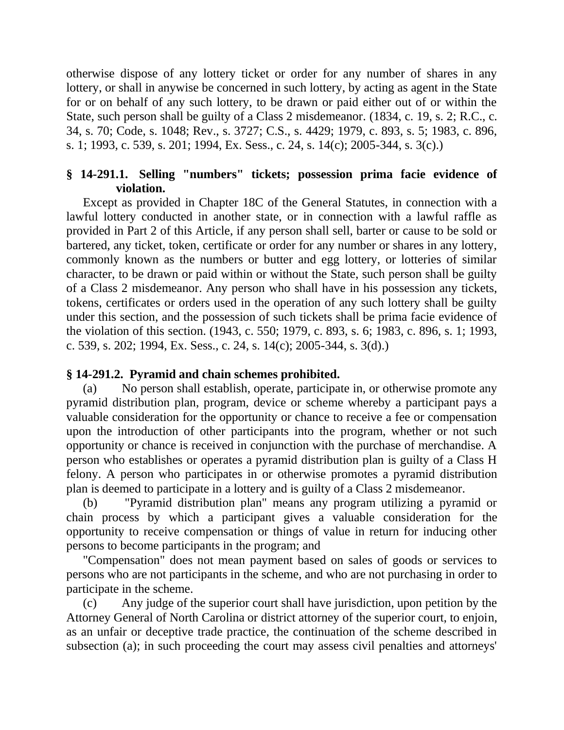otherwise dispose of any lottery ticket or order for any number of shares in any lottery, or shall in anywise be concerned in such lottery, by acting as agent in the State for or on behalf of any such lottery, to be drawn or paid either out of or within the State, such person shall be guilty of a Class 2 misdemeanor. (1834, c. 19, s. 2; R.C., c. 34, s. 70; Code, s. 1048; Rev., s. 3727; C.S., s. 4429; 1979, c. 893, s. 5; 1983, c. 896, s. 1; 1993, c. 539, s. 201; 1994, Ex. Sess., c. 24, s. 14(c); 2005-344, s. 3(c).)

## **§ 14-291.1. Selling "numbers" tickets; possession prima facie evidence of violation.**

Except as provided in Chapter 18C of the General Statutes, in connection with a lawful lottery conducted in another state, or in connection with a lawful raffle as provided in Part 2 of this Article, if any person shall sell, barter or cause to be sold or bartered, any ticket, token, certificate or order for any number or shares in any lottery, commonly known as the numbers or butter and egg lottery, or lotteries of similar character, to be drawn or paid within or without the State, such person shall be guilty of a Class 2 misdemeanor. Any person who shall have in his possession any tickets, tokens, certificates or orders used in the operation of any such lottery shall be guilty under this section, and the possession of such tickets shall be prima facie evidence of the violation of this section. (1943, c. 550; 1979, c. 893, s. 6; 1983, c. 896, s. 1; 1993, c. 539, s. 202; 1994, Ex. Sess., c. 24, s. 14(c); 2005-344, s. 3(d).)

### **§ 14-291.2. Pyramid and chain schemes prohibited.**

(a) No person shall establish, operate, participate in, or otherwise promote any pyramid distribution plan, program, device or scheme whereby a participant pays a valuable consideration for the opportunity or chance to receive a fee or compensation upon the introduction of other participants into the program, whether or not such opportunity or chance is received in conjunction with the purchase of merchandise. A person who establishes or operates a pyramid distribution plan is guilty of a Class H felony. A person who participates in or otherwise promotes a pyramid distribution plan is deemed to participate in a lottery and is guilty of a Class 2 misdemeanor.

(b) "Pyramid distribution plan" means any program utilizing a pyramid or chain process by which a participant gives a valuable consideration for the opportunity to receive compensation or things of value in return for inducing other persons to become participants in the program; and

"Compensation" does not mean payment based on sales of goods or services to persons who are not participants in the scheme, and who are not purchasing in order to participate in the scheme.

(c) Any judge of the superior court shall have jurisdiction, upon petition by the Attorney General of North Carolina or district attorney of the superior court, to enjoin, as an unfair or deceptive trade practice, the continuation of the scheme described in subsection (a); in such proceeding the court may assess civil penalties and attorneys'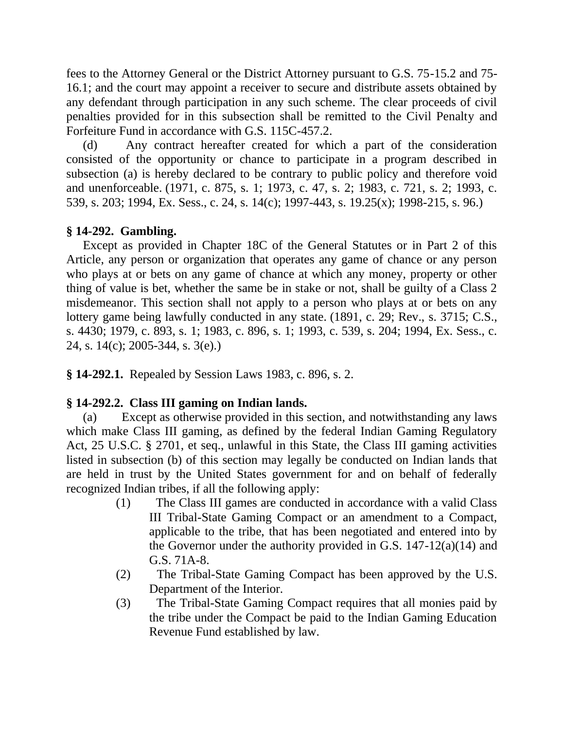fees to the Attorney General or the District Attorney pursuant to G.S. 75-15.2 and 75- 16.1; and the court may appoint a receiver to secure and distribute assets obtained by any defendant through participation in any such scheme. The clear proceeds of civil penalties provided for in this subsection shall be remitted to the Civil Penalty and Forfeiture Fund in accordance with G.S. 115C-457.2.

(d) Any contract hereafter created for which a part of the consideration consisted of the opportunity or chance to participate in a program described in subsection (a) is hereby declared to be contrary to public policy and therefore void and unenforceable. (1971, c. 875, s. 1; 1973, c. 47, s. 2; 1983, c. 721, s. 2; 1993, c. 539, s. 203; 1994, Ex. Sess., c. 24, s. 14(c); 1997-443, s. 19.25(x); 1998-215, s. 96.)

## **§ 14-292. Gambling.**

Except as provided in Chapter 18C of the General Statutes or in Part 2 of this Article, any person or organization that operates any game of chance or any person who plays at or bets on any game of chance at which any money, property or other thing of value is bet, whether the same be in stake or not, shall be guilty of a Class 2 misdemeanor. This section shall not apply to a person who plays at or bets on any lottery game being lawfully conducted in any state. (1891, c. 29; Rev., s. 3715; C.S., s. 4430; 1979, c. 893, s. 1; 1983, c. 896, s. 1; 1993, c. 539, s. 204; 1994, Ex. Sess., c. 24, s. 14(c); 2005-344, s. 3(e).)

**§ 14-292.1.** Repealed by Session Laws 1983, c. 896, s. 2.

## **§ 14-292.2. Class III gaming on Indian lands.**

(a) Except as otherwise provided in this section, and notwithstanding any laws which make Class III gaming, as defined by the federal Indian Gaming Regulatory Act, 25 U.S.C. § 2701, et seq., unlawful in this State, the Class III gaming activities listed in subsection (b) of this section may legally be conducted on Indian lands that are held in trust by the United States government for and on behalf of federally recognized Indian tribes, if all the following apply:

- (1) The Class III games are conducted in accordance with a valid Class III Tribal-State Gaming Compact or an amendment to a Compact, applicable to the tribe, that has been negotiated and entered into by the Governor under the authority provided in G.S.  $147-12(a)(14)$  and G.S. 71A-8.
- (2) The Tribal-State Gaming Compact has been approved by the U.S. Department of the Interior.
- (3) The Tribal-State Gaming Compact requires that all monies paid by the tribe under the Compact be paid to the Indian Gaming Education Revenue Fund established by law.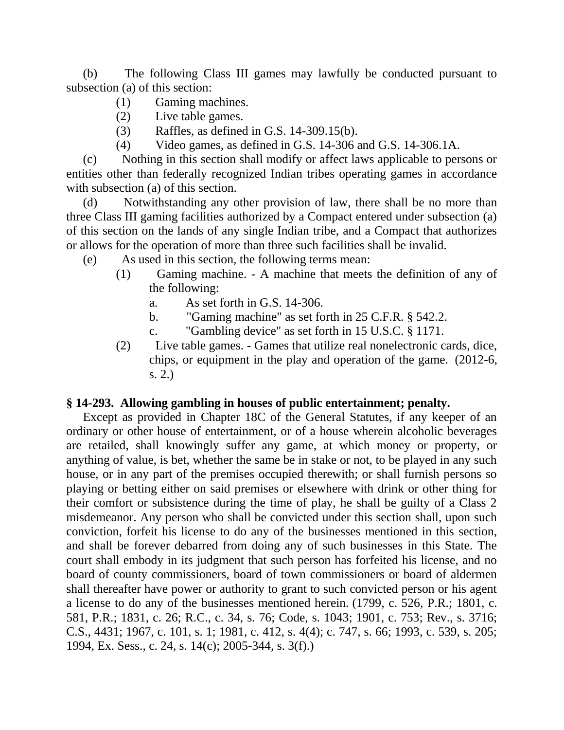(b) The following Class III games may lawfully be conducted pursuant to subsection (a) of this section:

- (1) Gaming machines.
- (2) Live table games.
- (3) Raffles, as defined in G.S. 14-309.15(b).
- (4) Video games, as defined in G.S. 14-306 and G.S. 14-306.1A.

(c) Nothing in this section shall modify or affect laws applicable to persons or entities other than federally recognized Indian tribes operating games in accordance with subsection (a) of this section.

(d) Notwithstanding any other provision of law, there shall be no more than three Class III gaming facilities authorized by a Compact entered under subsection (a) of this section on the lands of any single Indian tribe, and a Compact that authorizes or allows for the operation of more than three such facilities shall be invalid.

- (e) As used in this section, the following terms mean:
	- (1) Gaming machine. A machine that meets the definition of any of the following:
		- a. As set forth in G.S. 14-306.
		- b. "Gaming machine" as set forth in 25 C.F.R. § 542.2.
		- c. "Gambling device" as set forth in 15 U.S.C. § 1171.
	- (2) Live table games. Games that utilize real nonelectronic cards, dice, chips, or equipment in the play and operation of the game. (2012-6, s. 2.)

## **§ 14-293. Allowing gambling in houses of public entertainment; penalty.**

Except as provided in Chapter 18C of the General Statutes, if any keeper of an ordinary or other house of entertainment, or of a house wherein alcoholic beverages are retailed, shall knowingly suffer any game, at which money or property, or anything of value, is bet, whether the same be in stake or not, to be played in any such house, or in any part of the premises occupied therewith; or shall furnish persons so playing or betting either on said premises or elsewhere with drink or other thing for their comfort or subsistence during the time of play, he shall be guilty of a Class 2 misdemeanor. Any person who shall be convicted under this section shall, upon such conviction, forfeit his license to do any of the businesses mentioned in this section, and shall be forever debarred from doing any of such businesses in this State. The court shall embody in its judgment that such person has forfeited his license, and no board of county commissioners, board of town commissioners or board of aldermen shall thereafter have power or authority to grant to such convicted person or his agent a license to do any of the businesses mentioned herein. (1799, c. 526, P.R.; 1801, c. 581, P.R.; 1831, c. 26; R.C., c. 34, s. 76; Code, s. 1043; 1901, c. 753; Rev., s. 3716; C.S., 4431; 1967, c. 101, s. 1; 1981, c. 412, s. 4(4); c. 747, s. 66; 1993, c. 539, s. 205; 1994, Ex. Sess., c. 24, s. 14(c); 2005-344, s. 3(f).)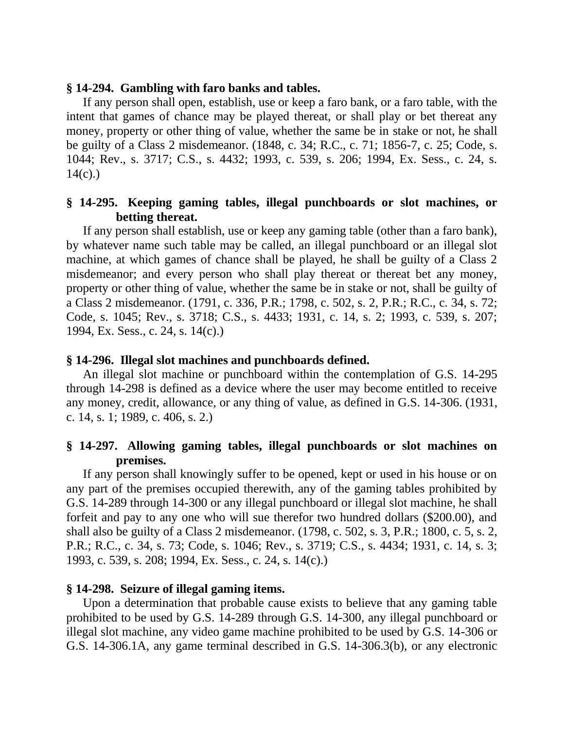#### **§ 14-294. Gambling with faro banks and tables.**

If any person shall open, establish, use or keep a faro bank, or a faro table, with the intent that games of chance may be played thereat, or shall play or bet thereat any money, property or other thing of value, whether the same be in stake or not, he shall be guilty of a Class 2 misdemeanor. (1848, c. 34; R.C., c. 71; 1856-7, c. 25; Code, s. 1044; Rev., s. 3717; C.S., s. 4432; 1993, c. 539, s. 206; 1994, Ex. Sess., c. 24, s.  $14(c)$ .)

### **§ 14-295. Keeping gaming tables, illegal punchboards or slot machines, or betting thereat.**

If any person shall establish, use or keep any gaming table (other than a faro bank), by whatever name such table may be called, an illegal punchboard or an illegal slot machine, at which games of chance shall be played, he shall be guilty of a Class 2 misdemeanor; and every person who shall play thereat or thereat bet any money, property or other thing of value, whether the same be in stake or not, shall be guilty of a Class 2 misdemeanor. (1791, c. 336, P.R.; 1798, c. 502, s. 2, P.R.; R.C., c. 34, s. 72; Code, s. 1045; Rev., s. 3718; C.S., s. 4433; 1931, c. 14, s. 2; 1993, c. 539, s. 207; 1994, Ex. Sess., c. 24, s. 14(c).)

#### **§ 14-296. Illegal slot machines and punchboards defined.**

An illegal slot machine or punchboard within the contemplation of G.S. 14-295 through 14-298 is defined as a device where the user may become entitled to receive any money, credit, allowance, or any thing of value, as defined in G.S. 14-306. (1931, c. 14, s. 1; 1989, c. 406, s. 2.)

### **§ 14-297. Allowing gaming tables, illegal punchboards or slot machines on premises.**

If any person shall knowingly suffer to be opened, kept or used in his house or on any part of the premises occupied therewith, any of the gaming tables prohibited by G.S. 14-289 through 14-300 or any illegal punchboard or illegal slot machine, he shall forfeit and pay to any one who will sue therefor two hundred dollars (\$200.00), and shall also be guilty of a Class 2 misdemeanor. (1798, c. 502, s. 3, P.R.; 1800, c. 5, s. 2, P.R.; R.C., c. 34, s. 73; Code, s. 1046; Rev., s. 3719; C.S., s. 4434; 1931, c. 14, s. 3; 1993, c. 539, s. 208; 1994, Ex. Sess., c. 24, s. 14(c).)

#### **§ 14-298. Seizure of illegal gaming items.**

Upon a determination that probable cause exists to believe that any gaming table prohibited to be used by G.S. 14-289 through G.S. 14-300, any illegal punchboard or illegal slot machine, any video game machine prohibited to be used by G.S. 14-306 or G.S. 14-306.1A, any game terminal described in G.S. 14-306.3(b), or any electronic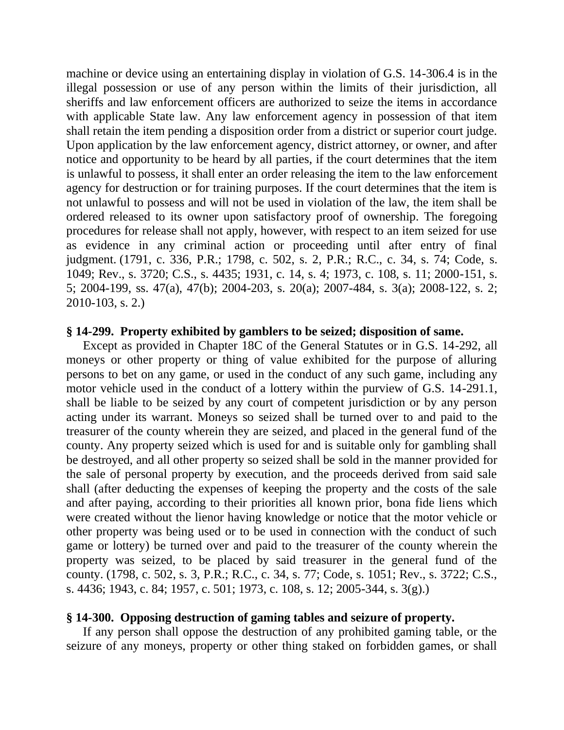machine or device using an entertaining display in violation of G.S. 14-306.4 is in the illegal possession or use of any person within the limits of their jurisdiction, all sheriffs and law enforcement officers are authorized to seize the items in accordance with applicable State law. Any law enforcement agency in possession of that item shall retain the item pending a disposition order from a district or superior court judge. Upon application by the law enforcement agency, district attorney, or owner, and after notice and opportunity to be heard by all parties, if the court determines that the item is unlawful to possess, it shall enter an order releasing the item to the law enforcement agency for destruction or for training purposes. If the court determines that the item is not unlawful to possess and will not be used in violation of the law, the item shall be ordered released to its owner upon satisfactory proof of ownership. The foregoing procedures for release shall not apply, however, with respect to an item seized for use as evidence in any criminal action or proceeding until after entry of final judgment. (1791, c. 336, P.R.; 1798, c. 502, s. 2, P.R.; R.C., c. 34, s. 74; Code, s. 1049; Rev., s. 3720; C.S., s. 4435; 1931, c. 14, s. 4; 1973, c. 108, s. 11; 2000-151, s. 5; 2004-199, ss. 47(a), 47(b); 2004-203, s. 20(a); 2007-484, s. 3(a); 2008-122, s. 2; 2010-103, s. 2.)

#### **§ 14-299. Property exhibited by gamblers to be seized; disposition of same.**

Except as provided in Chapter 18C of the General Statutes or in G.S. 14-292, all moneys or other property or thing of value exhibited for the purpose of alluring persons to bet on any game, or used in the conduct of any such game, including any motor vehicle used in the conduct of a lottery within the purview of G.S. 14-291.1, shall be liable to be seized by any court of competent jurisdiction or by any person acting under its warrant. Moneys so seized shall be turned over to and paid to the treasurer of the county wherein they are seized, and placed in the general fund of the county. Any property seized which is used for and is suitable only for gambling shall be destroyed, and all other property so seized shall be sold in the manner provided for the sale of personal property by execution, and the proceeds derived from said sale shall (after deducting the expenses of keeping the property and the costs of the sale and after paying, according to their priorities all known prior, bona fide liens which were created without the lienor having knowledge or notice that the motor vehicle or other property was being used or to be used in connection with the conduct of such game or lottery) be turned over and paid to the treasurer of the county wherein the property was seized, to be placed by said treasurer in the general fund of the county. (1798, c. 502, s. 3, P.R.; R.C., c. 34, s. 77; Code, s. 1051; Rev., s. 3722; C.S., s. 4436; 1943, c. 84; 1957, c. 501; 1973, c. 108, s. 12; 2005-344, s. 3(g).)

#### **§ 14-300. Opposing destruction of gaming tables and seizure of property.**

If any person shall oppose the destruction of any prohibited gaming table, or the seizure of any moneys, property or other thing staked on forbidden games, or shall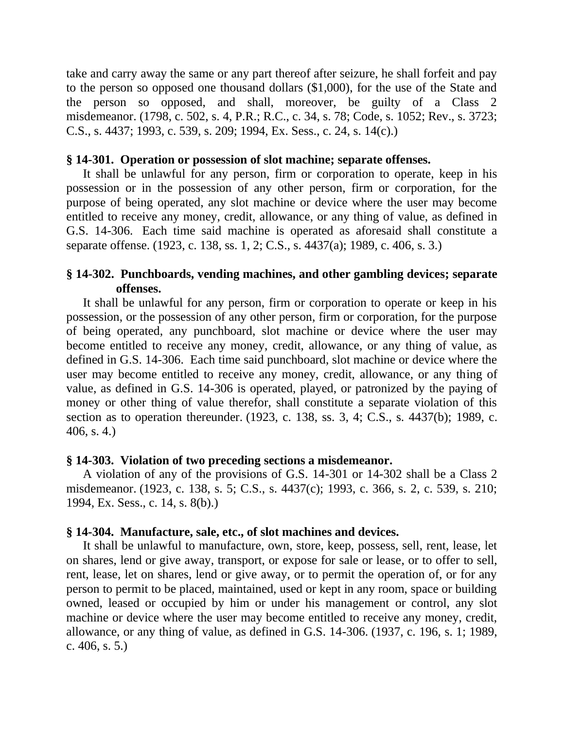take and carry away the same or any part thereof after seizure, he shall forfeit and pay to the person so opposed one thousand dollars (\$1,000), for the use of the State and the person so opposed, and shall, moreover, be guilty of a Class 2 misdemeanor. (1798, c. 502, s. 4, P.R.; R.C., c. 34, s. 78; Code, s. 1052; Rev., s. 3723; C.S., s. 4437; 1993, c. 539, s. 209; 1994, Ex. Sess., c. 24, s. 14(c).)

#### **§ 14-301. Operation or possession of slot machine; separate offenses.**

It shall be unlawful for any person, firm or corporation to operate, keep in his possession or in the possession of any other person, firm or corporation, for the purpose of being operated, any slot machine or device where the user may become entitled to receive any money, credit, allowance, or any thing of value, as defined in G.S. 14-306. Each time said machine is operated as aforesaid shall constitute a separate offense. (1923, c. 138, ss. 1, 2; C.S., s. 4437(a); 1989, c. 406, s. 3.)

#### **§ 14-302. Punchboards, vending machines, and other gambling devices; separate offenses.**

It shall be unlawful for any person, firm or corporation to operate or keep in his possession, or the possession of any other person, firm or corporation, for the purpose of being operated, any punchboard, slot machine or device where the user may become entitled to receive any money, credit, allowance, or any thing of value, as defined in G.S. 14-306. Each time said punchboard, slot machine or device where the user may become entitled to receive any money, credit, allowance, or any thing of value, as defined in G.S. 14-306 is operated, played, or patronized by the paying of money or other thing of value therefor, shall constitute a separate violation of this section as to operation thereunder. (1923, c. 138, ss. 3, 4; C.S., s. 4437(b); 1989, c. 406, s. 4.)

#### **§ 14-303. Violation of two preceding sections a misdemeanor.**

A violation of any of the provisions of G.S. 14-301 or 14-302 shall be a Class 2 misdemeanor. (1923, c. 138, s. 5; C.S., s. 4437(c); 1993, c. 366, s. 2, c. 539, s. 210; 1994, Ex. Sess., c. 14, s. 8(b).)

#### **§ 14-304. Manufacture, sale, etc., of slot machines and devices.**

It shall be unlawful to manufacture, own, store, keep, possess, sell, rent, lease, let on shares, lend or give away, transport, or expose for sale or lease, or to offer to sell, rent, lease, let on shares, lend or give away, or to permit the operation of, or for any person to permit to be placed, maintained, used or kept in any room, space or building owned, leased or occupied by him or under his management or control, any slot machine or device where the user may become entitled to receive any money, credit, allowance, or any thing of value, as defined in G.S. 14-306. (1937, c. 196, s. 1; 1989, c. 406, s. 5.)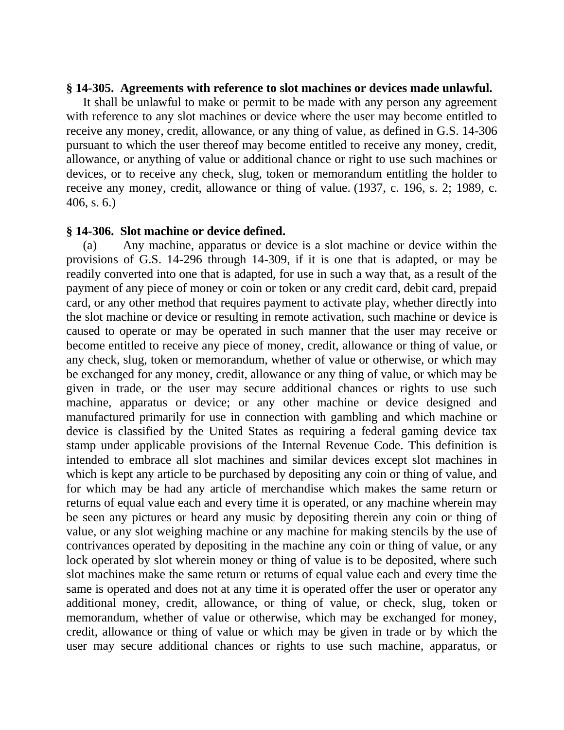#### **§ 14-305. Agreements with reference to slot machines or devices made unlawful.**

It shall be unlawful to make or permit to be made with any person any agreement with reference to any slot machines or device where the user may become entitled to receive any money, credit, allowance, or any thing of value, as defined in G.S. 14-306 pursuant to which the user thereof may become entitled to receive any money, credit, allowance, or anything of value or additional chance or right to use such machines or devices, or to receive any check, slug, token or memorandum entitling the holder to receive any money, credit, allowance or thing of value. (1937, c. 196, s. 2; 1989, c. 406, s. 6.)

#### **§ 14-306. Slot machine or device defined.**

Any machine, apparatus or device is a slot machine or device within the provisions of G.S. 14-296 through 14-309, if it is one that is adapted, or may be readily converted into one that is adapted, for use in such a way that, as a result of the payment of any piece of money or coin or token or any credit card, debit card, prepaid card, or any other method that requires payment to activate play, whether directly into the slot machine or device or resulting in remote activation, such machine or device is caused to operate or may be operated in such manner that the user may receive or become entitled to receive any piece of money, credit, allowance or thing of value, or any check, slug, token or memorandum, whether of value or otherwise, or which may be exchanged for any money, credit, allowance or any thing of value, or which may be given in trade, or the user may secure additional chances or rights to use such machine, apparatus or device; or any other machine or device designed and manufactured primarily for use in connection with gambling and which machine or device is classified by the United States as requiring a federal gaming device tax stamp under applicable provisions of the Internal Revenue Code. This definition is intended to embrace all slot machines and similar devices except slot machines in which is kept any article to be purchased by depositing any coin or thing of value, and for which may be had any article of merchandise which makes the same return or returns of equal value each and every time it is operated, or any machine wherein may be seen any pictures or heard any music by depositing therein any coin or thing of value, or any slot weighing machine or any machine for making stencils by the use of contrivances operated by depositing in the machine any coin or thing of value, or any lock operated by slot wherein money or thing of value is to be deposited, where such slot machines make the same return or returns of equal value each and every time the same is operated and does not at any time it is operated offer the user or operator any additional money, credit, allowance, or thing of value, or check, slug, token or memorandum, whether of value or otherwise, which may be exchanged for money, credit, allowance or thing of value or which may be given in trade or by which the user may secure additional chances or rights to use such machine, apparatus, or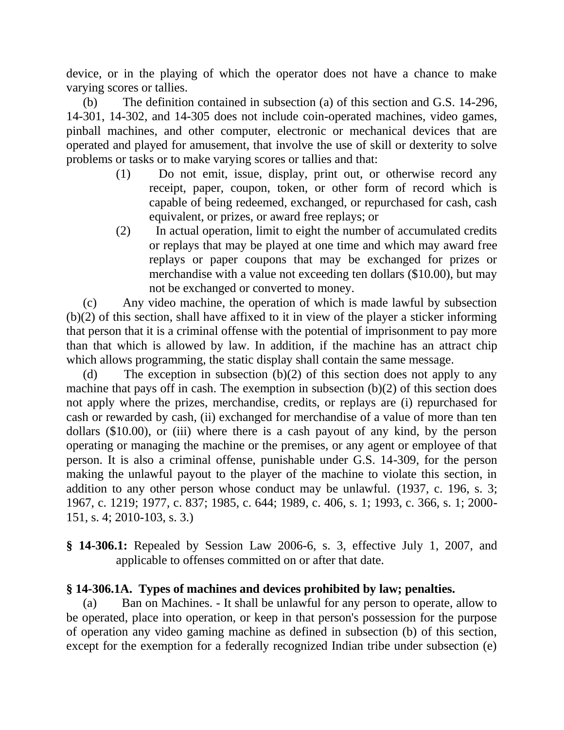device, or in the playing of which the operator does not have a chance to make varying scores or tallies.

(b) The definition contained in subsection (a) of this section and G.S. 14-296, 14-301, 14-302, and 14-305 does not include coin-operated machines, video games, pinball machines, and other computer, electronic or mechanical devices that are operated and played for amusement, that involve the use of skill or dexterity to solve problems or tasks or to make varying scores or tallies and that:

- (1) Do not emit, issue, display, print out, or otherwise record any receipt, paper, coupon, token, or other form of record which is capable of being redeemed, exchanged, or repurchased for cash, cash equivalent, or prizes, or award free replays; or
- (2) In actual operation, limit to eight the number of accumulated credits or replays that may be played at one time and which may award free replays or paper coupons that may be exchanged for prizes or merchandise with a value not exceeding ten dollars (\$10.00), but may not be exchanged or converted to money.

(c) Any video machine, the operation of which is made lawful by subsection (b)(2) of this section, shall have affixed to it in view of the player a sticker informing that person that it is a criminal offense with the potential of imprisonment to pay more than that which is allowed by law. In addition, if the machine has an attract chip which allows programming, the static display shall contain the same message.

(d) The exception in subsection (b)(2) of this section does not apply to any machine that pays off in cash. The exemption in subsection  $(b)(2)$  of this section does not apply where the prizes, merchandise, credits, or replays are (i) repurchased for cash or rewarded by cash, (ii) exchanged for merchandise of a value of more than ten dollars (\$10.00), or (iii) where there is a cash payout of any kind, by the person operating or managing the machine or the premises, or any agent or employee of that person. It is also a criminal offense, punishable under G.S. 14-309, for the person making the unlawful payout to the player of the machine to violate this section, in addition to any other person whose conduct may be unlawful. (1937, c. 196, s. 3; 1967, c. 1219; 1977, c. 837; 1985, c. 644; 1989, c. 406, s. 1; 1993, c. 366, s. 1; 2000- 151, s. 4; 2010-103, s. 3.)

**§ 14-306.1:** Repealed by Session Law 2006-6, s. 3, effective July 1, 2007, and applicable to offenses committed on or after that date.

### **§ 14-306.1A. Types of machines and devices prohibited by law; penalties.**

(a) Ban on Machines. - It shall be unlawful for any person to operate, allow to be operated, place into operation, or keep in that person's possession for the purpose of operation any video gaming machine as defined in subsection (b) of this section, except for the exemption for a federally recognized Indian tribe under subsection (e)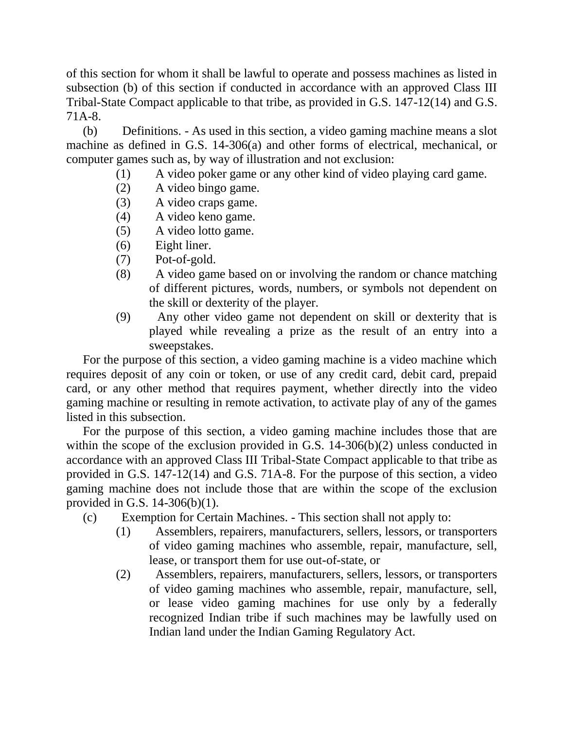of this section for whom it shall be lawful to operate and possess machines as listed in subsection (b) of this section if conducted in accordance with an approved Class III Tribal-State Compact applicable to that tribe, as provided in G.S. 147-12(14) and G.S. 71A-8.

(b) Definitions. - As used in this section, a video gaming machine means a slot machine as defined in G.S. 14-306(a) and other forms of electrical, mechanical, or computer games such as, by way of illustration and not exclusion:

(1) A video poker game or any other kind of video playing card game.

- (2) A video bingo game.
- (3) A video craps game.
- (4) A video keno game.
- (5) A video lotto game.
- (6) Eight liner.
- (7) Pot-of-gold.
- (8) A video game based on or involving the random or chance matching of different pictures, words, numbers, or symbols not dependent on the skill or dexterity of the player.
- (9) Any other video game not dependent on skill or dexterity that is played while revealing a prize as the result of an entry into a sweepstakes.

For the purpose of this section, a video gaming machine is a video machine which requires deposit of any coin or token, or use of any credit card, debit card, prepaid card, or any other method that requires payment, whether directly into the video gaming machine or resulting in remote activation, to activate play of any of the games listed in this subsection.

For the purpose of this section, a video gaming machine includes those that are within the scope of the exclusion provided in G.S. 14-306(b)(2) unless conducted in accordance with an approved Class III Tribal-State Compact applicable to that tribe as provided in G.S. 147-12(14) and G.S. 71A-8. For the purpose of this section, a video gaming machine does not include those that are within the scope of the exclusion provided in G.S. 14-306(b)(1).

- (c) Exemption for Certain Machines. This section shall not apply to:
	- (1) Assemblers, repairers, manufacturers, sellers, lessors, or transporters of video gaming machines who assemble, repair, manufacture, sell, lease, or transport them for use out-of-state, or
	- (2) Assemblers, repairers, manufacturers, sellers, lessors, or transporters of video gaming machines who assemble, repair, manufacture, sell, or lease video gaming machines for use only by a federally recognized Indian tribe if such machines may be lawfully used on Indian land under the Indian Gaming Regulatory Act.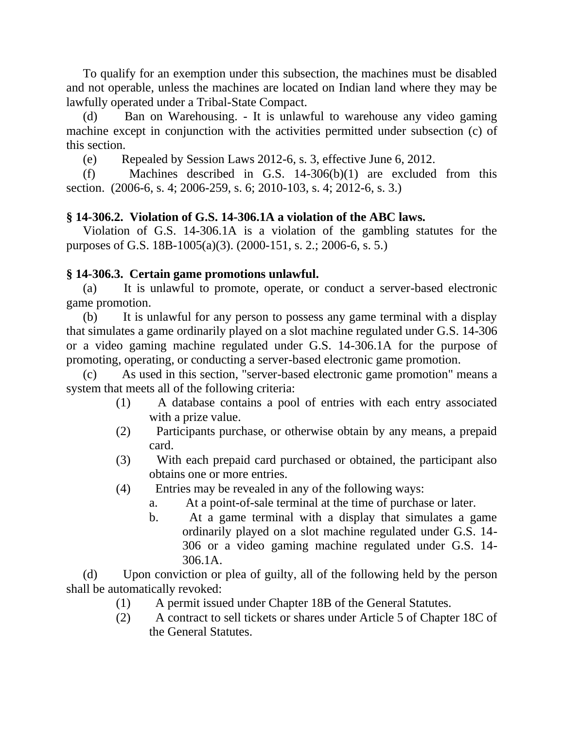To qualify for an exemption under this subsection, the machines must be disabled and not operable, unless the machines are located on Indian land where they may be lawfully operated under a Tribal-State Compact.

(d) Ban on Warehousing. - It is unlawful to warehouse any video gaming machine except in conjunction with the activities permitted under subsection (c) of this section.

(e) Repealed by Session Laws 2012-6, s. 3, effective June 6, 2012.

(f) Machines described in G.S. 14-306(b)(1) are excluded from this section. (2006-6, s. 4; 2006-259, s. 6; 2010-103, s. 4; 2012-6, s. 3.)

## **§ 14-306.2. Violation of G.S. 14-306.1A a violation of the ABC laws.**

Violation of G.S. 14-306.1A is a violation of the gambling statutes for the purposes of G.S. 18B-1005(a)(3). (2000-151, s. 2.; 2006-6, s. 5.)

## **§ 14-306.3. Certain game promotions unlawful.**

(a) It is unlawful to promote, operate, or conduct a server-based electronic game promotion.

(b) It is unlawful for any person to possess any game terminal with a display that simulates a game ordinarily played on a slot machine regulated under G.S. 14-306 or a video gaming machine regulated under G.S. 14-306.1A for the purpose of promoting, operating, or conducting a server-based electronic game promotion.

(c) As used in this section, "server-based electronic game promotion" means a system that meets all of the following criteria:

- (1) A database contains a pool of entries with each entry associated with a prize value.
- (2) Participants purchase, or otherwise obtain by any means, a prepaid card.
- (3) With each prepaid card purchased or obtained, the participant also obtains one or more entries.
- (4) Entries may be revealed in any of the following ways:
	- a. At a point-of-sale terminal at the time of purchase or later.
	- b. At a game terminal with a display that simulates a game ordinarily played on a slot machine regulated under G.S. 14- 306 or a video gaming machine regulated under G.S. 14- 306.1A.

(d) Upon conviction or plea of guilty, all of the following held by the person shall be automatically revoked:

- (1) A permit issued under Chapter 18B of the General Statutes.
- (2) A contract to sell tickets or shares under Article 5 of Chapter 18C of the General Statutes.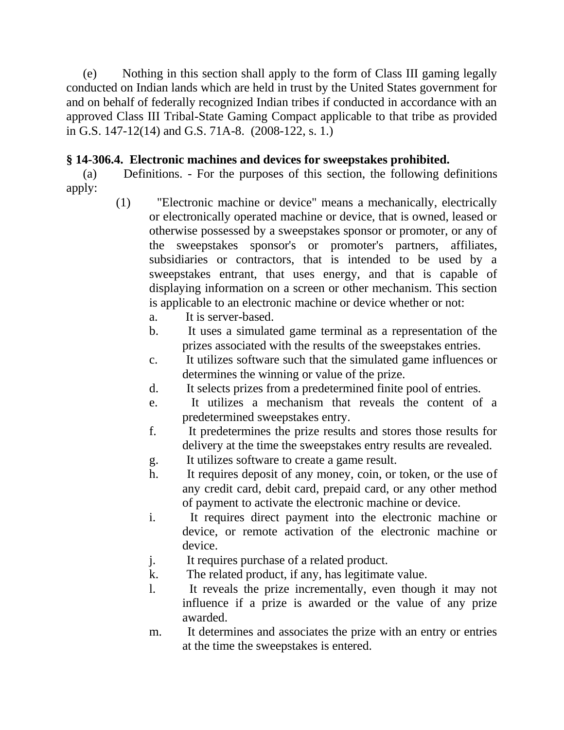(e) Nothing in this section shall apply to the form of Class III gaming legally conducted on Indian lands which are held in trust by the United States government for and on behalf of federally recognized Indian tribes if conducted in accordance with an approved Class III Tribal-State Gaming Compact applicable to that tribe as provided in G.S. 147-12(14) and G.S. 71A-8. (2008-122, s. 1.)

## **§ 14-306.4. Electronic machines and devices for sweepstakes prohibited.**

(a) Definitions. - For the purposes of this section, the following definitions apply:

- (1) "Electronic machine or device" means a mechanically, electrically or electronically operated machine or device, that is owned, leased or otherwise possessed by a sweepstakes sponsor or promoter, or any of the sweepstakes sponsor's or promoter's partners, affiliates, subsidiaries or contractors, that is intended to be used by a sweepstakes entrant, that uses energy, and that is capable of displaying information on a screen or other mechanism. This section is applicable to an electronic machine or device whether or not:
	- a. It is server-based.
	- b. It uses a simulated game terminal as a representation of the prizes associated with the results of the sweepstakes entries.
	- c. It utilizes software such that the simulated game influences or determines the winning or value of the prize.
	- d. It selects prizes from a predetermined finite pool of entries.
	- e. It utilizes a mechanism that reveals the content of a predetermined sweepstakes entry.
	- f. It predetermines the prize results and stores those results for delivery at the time the sweepstakes entry results are revealed.
	- g. It utilizes software to create a game result.
	- h. It requires deposit of any money, coin, or token, or the use of any credit card, debit card, prepaid card, or any other method of payment to activate the electronic machine or device.
	- i. It requires direct payment into the electronic machine or device, or remote activation of the electronic machine or device.
	- j. It requires purchase of a related product.
	- k. The related product, if any, has legitimate value.
	- l. It reveals the prize incrementally, even though it may not influence if a prize is awarded or the value of any prize awarded.
	- m. It determines and associates the prize with an entry or entries at the time the sweepstakes is entered.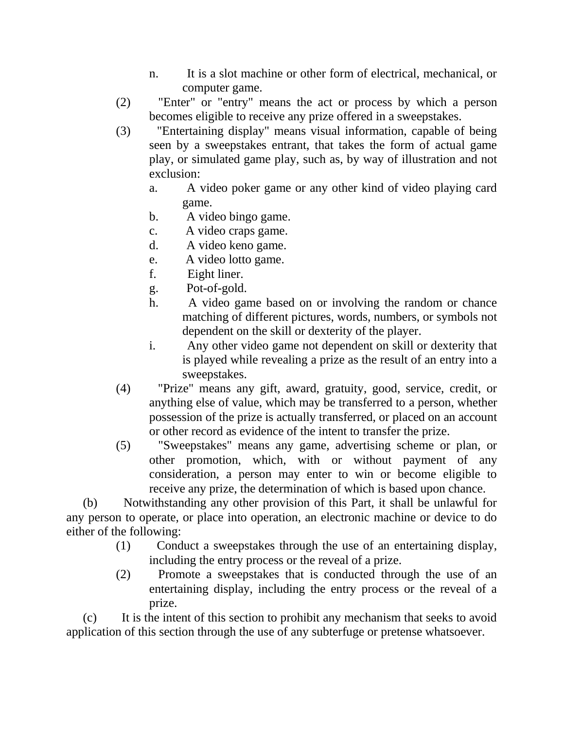- n. It is a slot machine or other form of electrical, mechanical, or computer game.
- (2) "Enter" or "entry" means the act or process by which a person becomes eligible to receive any prize offered in a sweepstakes.
- (3) "Entertaining display" means visual information, capable of being seen by a sweepstakes entrant, that takes the form of actual game play, or simulated game play, such as, by way of illustration and not exclusion:
	- a. A video poker game or any other kind of video playing card game.
	- b. A video bingo game.
	- c. A video craps game.
	- d. A video keno game.
	- e. A video lotto game.
	- f. Eight liner.
	- g. Pot-of-gold.
	- h. A video game based on or involving the random or chance matching of different pictures, words, numbers, or symbols not dependent on the skill or dexterity of the player.
	- i. Any other video game not dependent on skill or dexterity that is played while revealing a prize as the result of an entry into a sweepstakes.
- (4) "Prize" means any gift, award, gratuity, good, service, credit, or anything else of value, which may be transferred to a person, whether possession of the prize is actually transferred, or placed on an account or other record as evidence of the intent to transfer the prize.
- (5) "Sweepstakes" means any game, advertising scheme or plan, or other promotion, which, with or without payment of any consideration, a person may enter to win or become eligible to receive any prize, the determination of which is based upon chance.

(b) Notwithstanding any other provision of this Part, it shall be unlawful for any person to operate, or place into operation, an electronic machine or device to do either of the following:

- (1) Conduct a sweepstakes through the use of an entertaining display, including the entry process or the reveal of a prize.
- (2) Promote a sweepstakes that is conducted through the use of an entertaining display, including the entry process or the reveal of a prize.

(c) It is the intent of this section to prohibit any mechanism that seeks to avoid application of this section through the use of any subterfuge or pretense whatsoever.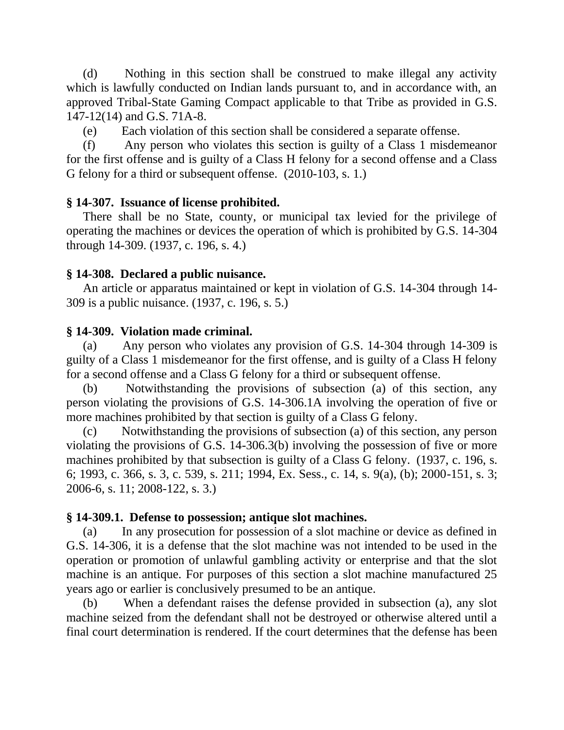(d) Nothing in this section shall be construed to make illegal any activity which is lawfully conducted on Indian lands pursuant to, and in accordance with, an approved Tribal-State Gaming Compact applicable to that Tribe as provided in G.S. 147-12(14) and G.S. 71A-8.

(e) Each violation of this section shall be considered a separate offense.

(f) Any person who violates this section is guilty of a Class 1 misdemeanor for the first offense and is guilty of a Class H felony for a second offense and a Class G felony for a third or subsequent offense. (2010-103, s. 1.)

## **§ 14-307. Issuance of license prohibited.**

There shall be no State, county, or municipal tax levied for the privilege of operating the machines or devices the operation of which is prohibited by G.S. 14-304 through 14-309. (1937, c. 196, s. 4.)

## **§ 14-308. Declared a public nuisance.**

An article or apparatus maintained or kept in violation of G.S. 14-304 through 14- 309 is a public nuisance. (1937, c. 196, s. 5.)

## **§ 14-309. Violation made criminal.**

(a) Any person who violates any provision of G.S. 14-304 through 14-309 is guilty of a Class 1 misdemeanor for the first offense, and is guilty of a Class H felony for a second offense and a Class G felony for a third or subsequent offense.

(b) Notwithstanding the provisions of subsection (a) of this section, any person violating the provisions of G.S. 14-306.1A involving the operation of five or more machines prohibited by that section is guilty of a Class G felony.

(c) Notwithstanding the provisions of subsection (a) of this section, any person violating the provisions of G.S. 14-306.3(b) involving the possession of five or more machines prohibited by that subsection is guilty of a Class G felony. (1937, c. 196, s. 6; 1993, c. 366, s. 3, c. 539, s. 211; 1994, Ex. Sess., c. 14, s. 9(a), (b); 2000-151, s. 3; 2006-6, s. 11; 2008-122, s. 3.)

### **§ 14-309.1. Defense to possession; antique slot machines.**

(a) In any prosecution for possession of a slot machine or device as defined in G.S. 14-306, it is a defense that the slot machine was not intended to be used in the operation or promotion of unlawful gambling activity or enterprise and that the slot machine is an antique. For purposes of this section a slot machine manufactured 25 years ago or earlier is conclusively presumed to be an antique.

(b) When a defendant raises the defense provided in subsection (a), any slot machine seized from the defendant shall not be destroyed or otherwise altered until a final court determination is rendered. If the court determines that the defense has been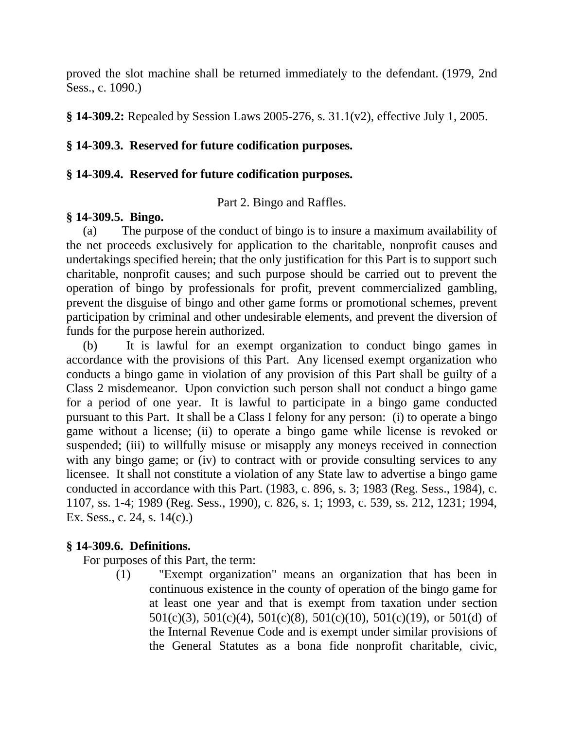proved the slot machine shall be returned immediately to the defendant. (1979, 2nd Sess., c. 1090.)

**§ 14-309.2:** Repealed by Session Laws 2005-276, s. 31.1(v2), effective July 1, 2005.

## **§ 14-309.3. Reserved for future codification purposes.**

## **§ 14-309.4. Reserved for future codification purposes.**

Part 2. Bingo and Raffles.

# **§ 14-309.5. Bingo.**

(a) The purpose of the conduct of bingo is to insure a maximum availability of the net proceeds exclusively for application to the charitable, nonprofit causes and undertakings specified herein; that the only justification for this Part is to support such charitable, nonprofit causes; and such purpose should be carried out to prevent the operation of bingo by professionals for profit, prevent commercialized gambling, prevent the disguise of bingo and other game forms or promotional schemes, prevent participation by criminal and other undesirable elements, and prevent the diversion of funds for the purpose herein authorized.

(b) It is lawful for an exempt organization to conduct bingo games in accordance with the provisions of this Part. Any licensed exempt organization who conducts a bingo game in violation of any provision of this Part shall be guilty of a Class 2 misdemeanor. Upon conviction such person shall not conduct a bingo game for a period of one year. It is lawful to participate in a bingo game conducted pursuant to this Part. It shall be a Class I felony for any person: (i) to operate a bingo game without a license; (ii) to operate a bingo game while license is revoked or suspended; (iii) to willfully misuse or misapply any moneys received in connection with any bingo game; or (iv) to contract with or provide consulting services to any licensee. It shall not constitute a violation of any State law to advertise a bingo game conducted in accordance with this Part. (1983, c. 896, s. 3; 1983 (Reg. Sess., 1984), c. 1107, ss. 1-4; 1989 (Reg. Sess., 1990), c. 826, s. 1; 1993, c. 539, ss. 212, 1231; 1994, Ex. Sess., c. 24, s. 14(c).)

# **§ 14-309.6. Definitions.**

For purposes of this Part, the term:

(1) "Exempt organization" means an organization that has been in continuous existence in the county of operation of the bingo game for at least one year and that is exempt from taxation under section 501(c)(3), 501(c)(4), 501(c)(8), 501(c)(10), 501(c)(19), or 501(d) of the Internal Revenue Code and is exempt under similar provisions of the General Statutes as a bona fide nonprofit charitable, civic,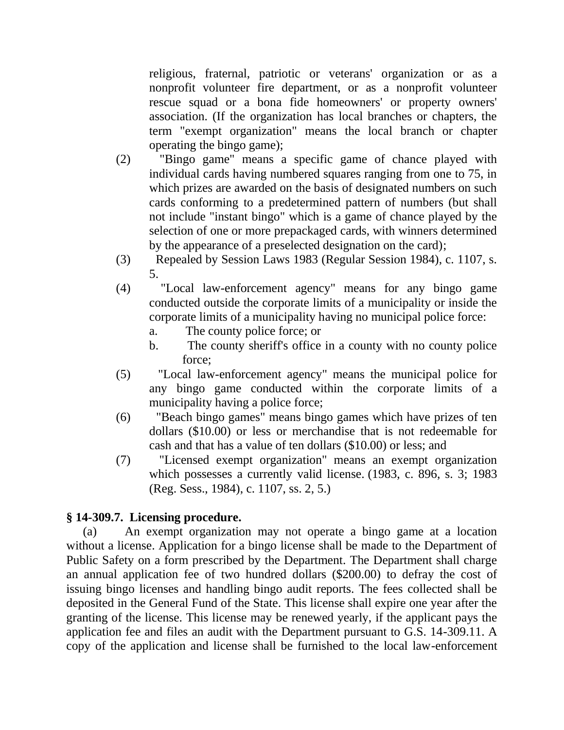religious, fraternal, patriotic or veterans' organization or as a nonprofit volunteer fire department, or as a nonprofit volunteer rescue squad or a bona fide homeowners' or property owners' association. (If the organization has local branches or chapters, the term "exempt organization" means the local branch or chapter operating the bingo game);

- (2) "Bingo game" means a specific game of chance played with individual cards having numbered squares ranging from one to 75, in which prizes are awarded on the basis of designated numbers on such cards conforming to a predetermined pattern of numbers (but shall not include "instant bingo" which is a game of chance played by the selection of one or more prepackaged cards, with winners determined by the appearance of a preselected designation on the card);
- (3) Repealed by Session Laws 1983 (Regular Session 1984), c. 1107, s. 5.
- (4) "Local law-enforcement agency" means for any bingo game conducted outside the corporate limits of a municipality or inside the corporate limits of a municipality having no municipal police force:
	- a. The county police force; or
	- b. The county sheriff's office in a county with no county police force;
- (5) "Local law-enforcement agency" means the municipal police for any bingo game conducted within the corporate limits of a municipality having a police force;
- (6) "Beach bingo games" means bingo games which have prizes of ten dollars (\$10.00) or less or merchandise that is not redeemable for cash and that has a value of ten dollars (\$10.00) or less; and
- (7) "Licensed exempt organization" means an exempt organization which possesses a currently valid license. (1983, c. 896, s. 3; 1983 (Reg. Sess., 1984), c. 1107, ss. 2, 5.)

## **§ 14-309.7. Licensing procedure.**

(a) An exempt organization may not operate a bingo game at a location without a license. Application for a bingo license shall be made to the Department of Public Safety on a form prescribed by the Department. The Department shall charge an annual application fee of two hundred dollars (\$200.00) to defray the cost of issuing bingo licenses and handling bingo audit reports. The fees collected shall be deposited in the General Fund of the State. This license shall expire one year after the granting of the license. This license may be renewed yearly, if the applicant pays the application fee and files an audit with the Department pursuant to G.S. 14-309.11. A copy of the application and license shall be furnished to the local law-enforcement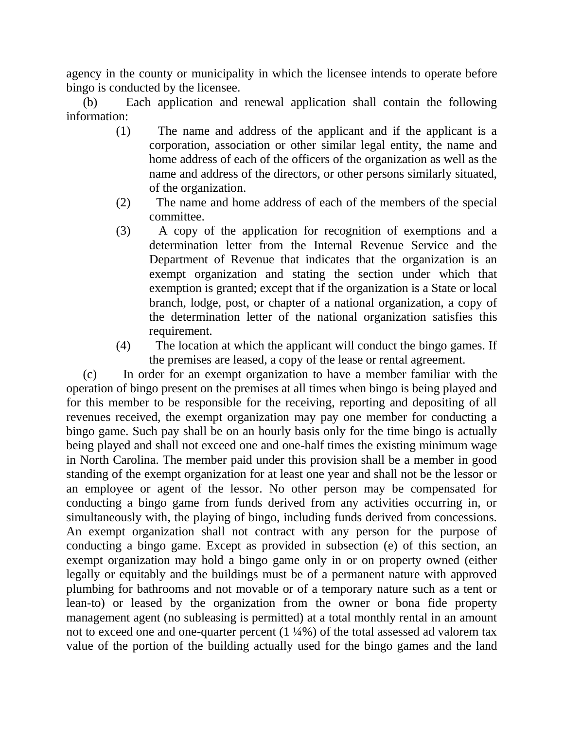agency in the county or municipality in which the licensee intends to operate before bingo is conducted by the licensee.

(b) Each application and renewal application shall contain the following information:

- (1) The name and address of the applicant and if the applicant is a corporation, association or other similar legal entity, the name and home address of each of the officers of the organization as well as the name and address of the directors, or other persons similarly situated, of the organization.
- (2) The name and home address of each of the members of the special committee.
- (3) A copy of the application for recognition of exemptions and a determination letter from the Internal Revenue Service and the Department of Revenue that indicates that the organization is an exempt organization and stating the section under which that exemption is granted; except that if the organization is a State or local branch, lodge, post, or chapter of a national organization, a copy of the determination letter of the national organization satisfies this requirement.
- (4) The location at which the applicant will conduct the bingo games. If the premises are leased, a copy of the lease or rental agreement.

(c) In order for an exempt organization to have a member familiar with the operation of bingo present on the premises at all times when bingo is being played and for this member to be responsible for the receiving, reporting and depositing of all revenues received, the exempt organization may pay one member for conducting a bingo game. Such pay shall be on an hourly basis only for the time bingo is actually being played and shall not exceed one and one-half times the existing minimum wage in North Carolina. The member paid under this provision shall be a member in good standing of the exempt organization for at least one year and shall not be the lessor or an employee or agent of the lessor. No other person may be compensated for conducting a bingo game from funds derived from any activities occurring in, or simultaneously with, the playing of bingo, including funds derived from concessions. An exempt organization shall not contract with any person for the purpose of conducting a bingo game. Except as provided in subsection (e) of this section, an exempt organization may hold a bingo game only in or on property owned (either legally or equitably and the buildings must be of a permanent nature with approved plumbing for bathrooms and not movable or of a temporary nature such as a tent or lean-to) or leased by the organization from the owner or bona fide property management agent (no subleasing is permitted) at a total monthly rental in an amount not to exceed one and one-quarter percent (1 ¼%) of the total assessed ad valorem tax value of the portion of the building actually used for the bingo games and the land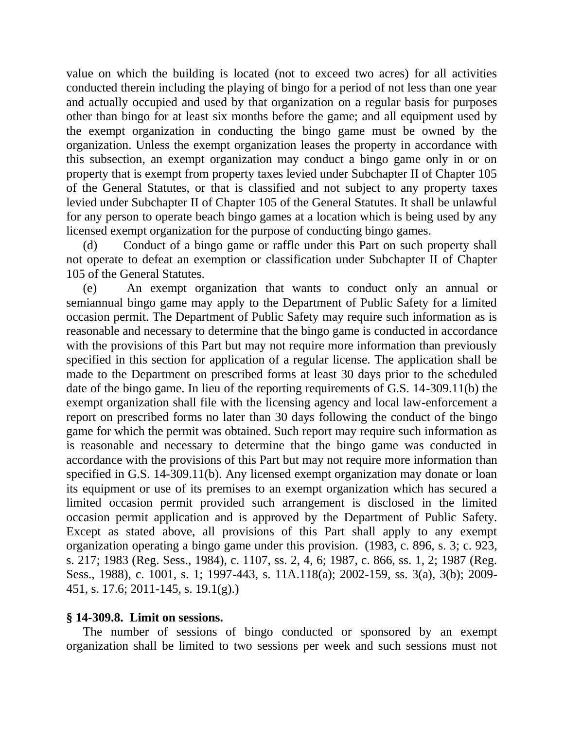value on which the building is located (not to exceed two acres) for all activities conducted therein including the playing of bingo for a period of not less than one year and actually occupied and used by that organization on a regular basis for purposes other than bingo for at least six months before the game; and all equipment used by the exempt organization in conducting the bingo game must be owned by the organization. Unless the exempt organization leases the property in accordance with this subsection, an exempt organization may conduct a bingo game only in or on property that is exempt from property taxes levied under Subchapter II of Chapter 105 of the General Statutes, or that is classified and not subject to any property taxes levied under Subchapter II of Chapter 105 of the General Statutes. It shall be unlawful for any person to operate beach bingo games at a location which is being used by any licensed exempt organization for the purpose of conducting bingo games.

Conduct of a bingo game or raffle under this Part on such property shall not operate to defeat an exemption or classification under Subchapter II of Chapter 105 of the General Statutes.

(e) An exempt organization that wants to conduct only an annual or semiannual bingo game may apply to the Department of Public Safety for a limited occasion permit. The Department of Public Safety may require such information as is reasonable and necessary to determine that the bingo game is conducted in accordance with the provisions of this Part but may not require more information than previously specified in this section for application of a regular license. The application shall be made to the Department on prescribed forms at least 30 days prior to the scheduled date of the bingo game. In lieu of the reporting requirements of G.S. 14-309.11(b) the exempt organization shall file with the licensing agency and local law-enforcement a report on prescribed forms no later than 30 days following the conduct of the bingo game for which the permit was obtained. Such report may require such information as is reasonable and necessary to determine that the bingo game was conducted in accordance with the provisions of this Part but may not require more information than specified in G.S. 14-309.11(b). Any licensed exempt organization may donate or loan its equipment or use of its premises to an exempt organization which has secured a limited occasion permit provided such arrangement is disclosed in the limited occasion permit application and is approved by the Department of Public Safety. Except as stated above, all provisions of this Part shall apply to any exempt organization operating a bingo game under this provision. (1983, c. 896, s. 3; c. 923, s. 217; 1983 (Reg. Sess., 1984), c. 1107, ss. 2, 4, 6; 1987, c. 866, ss. 1, 2; 1987 (Reg. Sess., 1988), c. 1001, s. 1; 1997-443, s. 11A.118(a); 2002-159, ss. 3(a), 3(b); 2009- 451, s. 17.6; 2011-145, s. 19.1(g).)

#### **§ 14-309.8. Limit on sessions.**

The number of sessions of bingo conducted or sponsored by an exempt organization shall be limited to two sessions per week and such sessions must not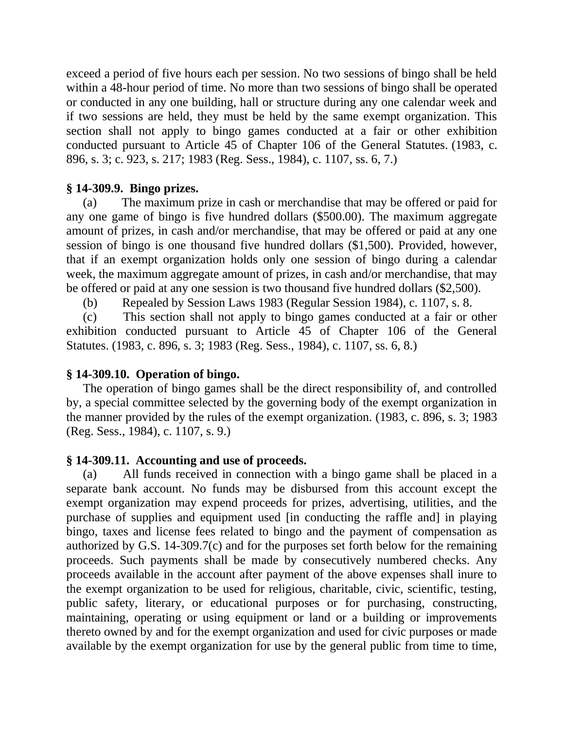exceed a period of five hours each per session. No two sessions of bingo shall be held within a 48-hour period of time. No more than two sessions of bingo shall be operated or conducted in any one building, hall or structure during any one calendar week and if two sessions are held, they must be held by the same exempt organization. This section shall not apply to bingo games conducted at a fair or other exhibition conducted pursuant to Article 45 of Chapter 106 of the General Statutes. (1983, c. 896, s. 3; c. 923, s. 217; 1983 (Reg. Sess., 1984), c. 1107, ss. 6, 7.)

### **§ 14-309.9. Bingo prizes.**

(a) The maximum prize in cash or merchandise that may be offered or paid for any one game of bingo is five hundred dollars (\$500.00). The maximum aggregate amount of prizes, in cash and/or merchandise, that may be offered or paid at any one session of bingo is one thousand five hundred dollars (\$1,500). Provided, however, that if an exempt organization holds only one session of bingo during a calendar week, the maximum aggregate amount of prizes, in cash and/or merchandise, that may be offered or paid at any one session is two thousand five hundred dollars (\$2,500).

(b) Repealed by Session Laws 1983 (Regular Session 1984), c. 1107, s. 8.

(c) This section shall not apply to bingo games conducted at a fair or other exhibition conducted pursuant to Article 45 of Chapter 106 of the General Statutes. (1983, c. 896, s. 3; 1983 (Reg. Sess., 1984), c. 1107, ss. 6, 8.)

## **§ 14-309.10. Operation of bingo.**

The operation of bingo games shall be the direct responsibility of, and controlled by, a special committee selected by the governing body of the exempt organization in the manner provided by the rules of the exempt organization. (1983, c. 896, s. 3; 1983 (Reg. Sess., 1984), c. 1107, s. 9.)

## **§ 14-309.11. Accounting and use of proceeds.**

(a) All funds received in connection with a bingo game shall be placed in a separate bank account. No funds may be disbursed from this account except the exempt organization may expend proceeds for prizes, advertising, utilities, and the purchase of supplies and equipment used [in conducting the raffle and] in playing bingo, taxes and license fees related to bingo and the payment of compensation as authorized by G.S. 14-309.7(c) and for the purposes set forth below for the remaining proceeds. Such payments shall be made by consecutively numbered checks. Any proceeds available in the account after payment of the above expenses shall inure to the exempt organization to be used for religious, charitable, civic, scientific, testing, public safety, literary, or educational purposes or for purchasing, constructing, maintaining, operating or using equipment or land or a building or improvements thereto owned by and for the exempt organization and used for civic purposes or made available by the exempt organization for use by the general public from time to time,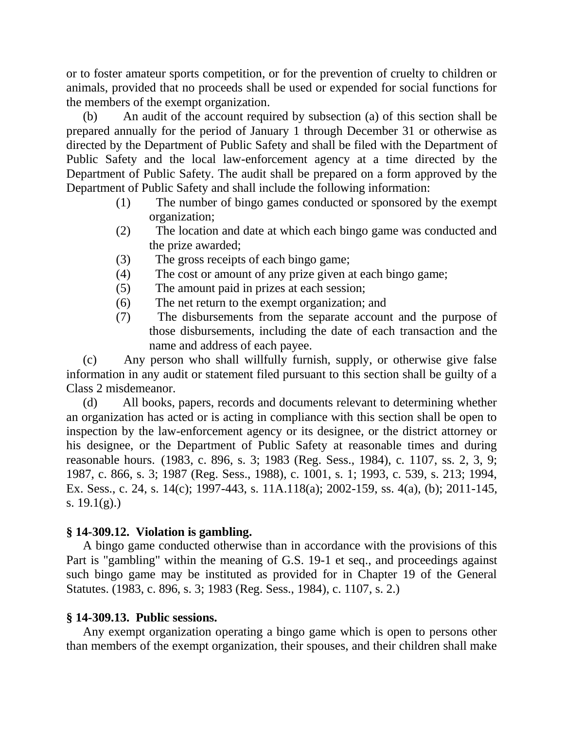or to foster amateur sports competition, or for the prevention of cruelty to children or animals, provided that no proceeds shall be used or expended for social functions for the members of the exempt organization.

(b) An audit of the account required by subsection (a) of this section shall be prepared annually for the period of January 1 through December 31 or otherwise as directed by the Department of Public Safety and shall be filed with the Department of Public Safety and the local law-enforcement agency at a time directed by the Department of Public Safety. The audit shall be prepared on a form approved by the Department of Public Safety and shall include the following information:

- (1) The number of bingo games conducted or sponsored by the exempt organization;
- (2) The location and date at which each bingo game was conducted and the prize awarded;
- (3) The gross receipts of each bingo game;
- (4) The cost or amount of any prize given at each bingo game;
- (5) The amount paid in prizes at each session;
- (6) The net return to the exempt organization; and
- (7) The disbursements from the separate account and the purpose of those disbursements, including the date of each transaction and the name and address of each payee.

(c) Any person who shall willfully furnish, supply, or otherwise give false information in any audit or statement filed pursuant to this section shall be guilty of a Class 2 misdemeanor.

(d) All books, papers, records and documents relevant to determining whether an organization has acted or is acting in compliance with this section shall be open to inspection by the law-enforcement agency or its designee, or the district attorney or his designee, or the Department of Public Safety at reasonable times and during reasonable hours. (1983, c. 896, s. 3; 1983 (Reg. Sess., 1984), c. 1107, ss. 2, 3, 9; 1987, c. 866, s. 3; 1987 (Reg. Sess., 1988), c. 1001, s. 1; 1993, c. 539, s. 213; 1994, Ex. Sess., c. 24, s. 14(c); 1997-443, s. 11A.118(a); 2002-159, ss. 4(a), (b); 2011-145, s. 19.1(g).)

### **§ 14-309.12. Violation is gambling.**

A bingo game conducted otherwise than in accordance with the provisions of this Part is "gambling" within the meaning of G.S. 19-1 et seq., and proceedings against such bingo game may be instituted as provided for in Chapter 19 of the General Statutes. (1983, c. 896, s. 3; 1983 (Reg. Sess., 1984), c. 1107, s. 2.)

### **§ 14-309.13. Public sessions.**

Any exempt organization operating a bingo game which is open to persons other than members of the exempt organization, their spouses, and their children shall make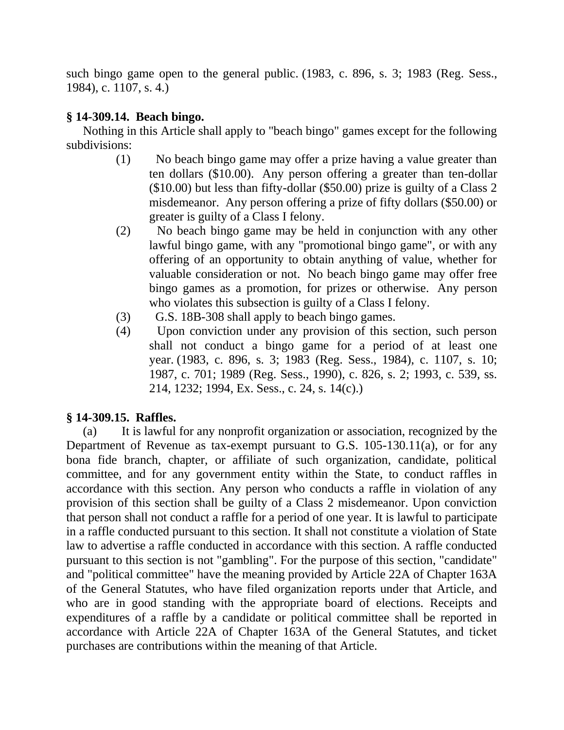such bingo game open to the general public. (1983, c. 896, s. 3; 1983 (Reg. Sess., 1984), c. 1107, s. 4.)

## **§ 14-309.14. Beach bingo.**

Nothing in this Article shall apply to "beach bingo" games except for the following subdivisions:

- (1) No beach bingo game may offer a prize having a value greater than ten dollars (\$10.00). Any person offering a greater than ten-dollar (\$10.00) but less than fifty-dollar (\$50.00) prize is guilty of a Class 2 misdemeanor. Any person offering a prize of fifty dollars (\$50.00) or greater is guilty of a Class I felony.
- (2) No beach bingo game may be held in conjunction with any other lawful bingo game, with any "promotional bingo game", or with any offering of an opportunity to obtain anything of value, whether for valuable consideration or not. No beach bingo game may offer free bingo games as a promotion, for prizes or otherwise. Any person who violates this subsection is guilty of a Class I felony.
- (3) G.S. 18B-308 shall apply to beach bingo games.
- (4) Upon conviction under any provision of this section, such person shall not conduct a bingo game for a period of at least one year. (1983, c. 896, s. 3; 1983 (Reg. Sess., 1984), c. 1107, s. 10; 1987, c. 701; 1989 (Reg. Sess., 1990), c. 826, s. 2; 1993, c. 539, ss. 214, 1232; 1994, Ex. Sess., c. 24, s. 14(c).)

## **§ 14-309.15. Raffles.**

(a) It is lawful for any nonprofit organization or association, recognized by the Department of Revenue as tax-exempt pursuant to G.S. 105-130.11(a), or for any bona fide branch, chapter, or affiliate of such organization, candidate, political committee, and for any government entity within the State, to conduct raffles in accordance with this section. Any person who conducts a raffle in violation of any provision of this section shall be guilty of a Class 2 misdemeanor. Upon conviction that person shall not conduct a raffle for a period of one year. It is lawful to participate in a raffle conducted pursuant to this section. It shall not constitute a violation of State law to advertise a raffle conducted in accordance with this section. A raffle conducted pursuant to this section is not "gambling". For the purpose of this section, "candidate" and "political committee" have the meaning provided by Article 22A of Chapter 163A of the General Statutes, who have filed organization reports under that Article, and who are in good standing with the appropriate board of elections. Receipts and expenditures of a raffle by a candidate or political committee shall be reported in accordance with Article 22A of Chapter 163A of the General Statutes, and ticket purchases are contributions within the meaning of that Article.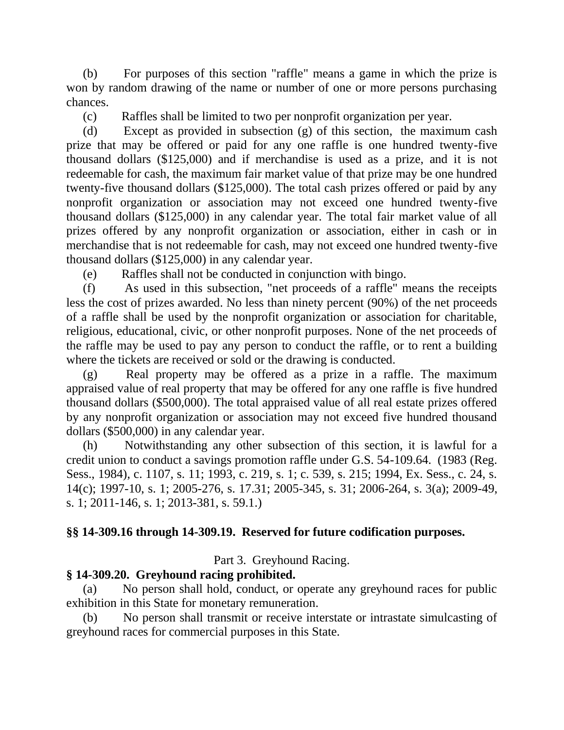(b) For purposes of this section "raffle" means a game in which the prize is won by random drawing of the name or number of one or more persons purchasing chances.

(c) Raffles shall be limited to two per nonprofit organization per year.

(d) Except as provided in subsection (g) of this section, the maximum cash prize that may be offered or paid for any one raffle is one hundred twenty-five thousand dollars (\$125,000) and if merchandise is used as a prize, and it is not redeemable for cash, the maximum fair market value of that prize may be one hundred twenty-five thousand dollars (\$125,000). The total cash prizes offered or paid by any nonprofit organization or association may not exceed one hundred twenty-five thousand dollars (\$125,000) in any calendar year. The total fair market value of all prizes offered by any nonprofit organization or association, either in cash or in merchandise that is not redeemable for cash, may not exceed one hundred twenty-five thousand dollars (\$125,000) in any calendar year.

(e) Raffles shall not be conducted in conjunction with bingo.

(f) As used in this subsection, "net proceeds of a raffle" means the receipts less the cost of prizes awarded. No less than ninety percent (90%) of the net proceeds of a raffle shall be used by the nonprofit organization or association for charitable, religious, educational, civic, or other nonprofit purposes. None of the net proceeds of the raffle may be used to pay any person to conduct the raffle, or to rent a building where the tickets are received or sold or the drawing is conducted.

(g) Real property may be offered as a prize in a raffle. The maximum appraised value of real property that may be offered for any one raffle is five hundred thousand dollars (\$500,000). The total appraised value of all real estate prizes offered by any nonprofit organization or association may not exceed five hundred thousand dollars (\$500,000) in any calendar year.

(h) Notwithstanding any other subsection of this section, it is lawful for a credit union to conduct a savings promotion raffle under G.S. 54-109.64. (1983 (Reg. Sess., 1984), c. 1107, s. 11; 1993, c. 219, s. 1; c. 539, s. 215; 1994, Ex. Sess., c. 24, s. 14(c); 1997-10, s. 1; 2005-276, s. 17.31; 2005-345, s. 31; 2006-264, s. 3(a); 2009-49, s. 1; 2011-146, s. 1; 2013-381, s. 59.1.)

# **§§ 14-309.16 through 14-309.19. Reserved for future codification purposes.**

Part 3. Greyhound Racing.

# **§ 14-309.20. Greyhound racing prohibited.**

(a) No person shall hold, conduct, or operate any greyhound races for public exhibition in this State for monetary remuneration.

(b) No person shall transmit or receive interstate or intrastate simulcasting of greyhound races for commercial purposes in this State.